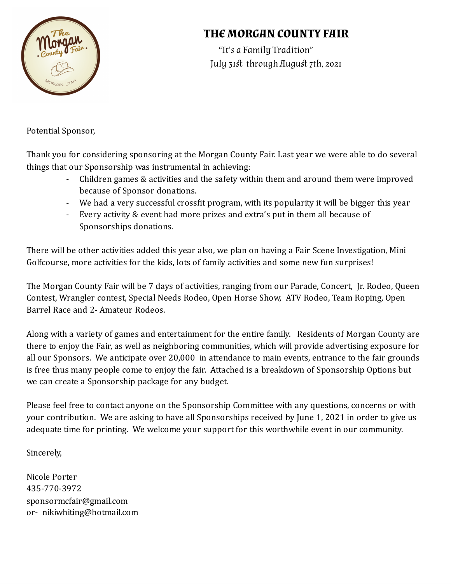

## **THE MORGAN COUNTY FAIR**

"It's a Family Tradition" July 31st through August 7th, 2021

Potential Sponsor,

Thank you for considering sponsoring at the Morgan County Fair. Last year we were able to do several things that our Sponsorship was instrumental in achieving:

- Children games & activities and the safety within them and around them were improved because of Sponsor donations.
- We had a very successful crossfit program, with its popularity it will be bigger this year
- Every activity & event had more prizes and extra's put in them all because of Sponsorships donations.

There will be other activities added this year also, we plan on having a Fair Scene Investigation, Mini Golfcourse, more activities for the kids, lots of family activities and some new fun surprises!

The Morgan County Fair will be 7 days of activities, ranging from our Parade, Concert, Jr. Rodeo, Queen Contest, Wrangler contest, Special Needs Rodeo, Open Horse Show, ATV Rodeo, Team Roping, Open Barrel Race and 2- Amateur Rodeos.

Along with a variety of games and entertainment for the entire family. Residents of Morgan County are there to enjoy the Fair, as well as neighboring communities, which will provide advertising exposure for all our Sponsors. We anticipate over 20,000 in attendance to main events, entrance to the fair grounds is free thus many people come to enjoy the fair. Attached is a breakdown of Sponsorship Options but we can create a Sponsorship package for any budget.

Please feel free to contact anyone on the Sponsorship Committee with any questions, concerns or with your contribution. We are asking to have all Sponsorships received by June 1, 2021 in order to give us adequate time for printing. We welcome your support for this worthwhile event in our community.

Sincerely,

Nicole Porter 435-770-3972 sponsormcfair@gmail.com or- nikiwhiting@hotmail.com